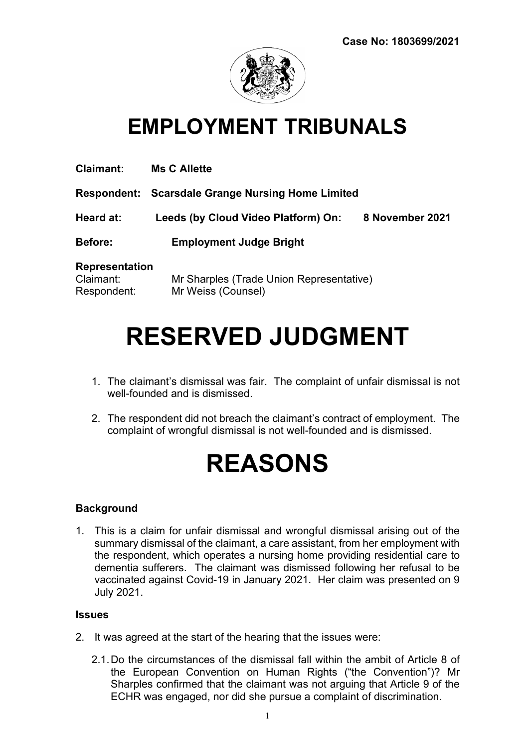

# EMPLOYMENT TRIBUNALS

| <b>Claimant:</b>      | <b>Ms C Allette</b>                                      |                 |
|-----------------------|----------------------------------------------------------|-----------------|
|                       | <b>Respondent: Scarsdale Grange Nursing Home Limited</b> |                 |
| Heard at:             | Leeds (by Cloud Video Platform) On:                      | 8 November 2021 |
| <b>Before:</b>        | <b>Employment Judge Bright</b>                           |                 |
| <b>Representation</b> |                                                          |                 |
| Claimant:             | Mr Sharples (Trade Union Representative)                 |                 |
| Respondent:           | Mr Weiss (Counsel)                                       |                 |

# RESERVED JUDGMENT

- 1. The claimant's dismissal was fair. The complaint of unfair dismissal is not well-founded and is dismissed.
- 2. The respondent did not breach the claimant's contract of employment. The complaint of wrongful dismissal is not well-founded and is dismissed.

# REASONS

#### Background

1. This is a claim for unfair dismissal and wrongful dismissal arising out of the summary dismissal of the claimant, a care assistant, from her employment with the respondent, which operates a nursing home providing residential care to dementia sufferers. The claimant was dismissed following her refusal to be vaccinated against Covid-19 in January 2021. Her claim was presented on 9 July 2021.

#### **Issues**

- 2. It was agreed at the start of the hearing that the issues were:
	- 2.1. Do the circumstances of the dismissal fall within the ambit of Article 8 of the European Convention on Human Rights ("the Convention")? Mr Sharples confirmed that the claimant was not arguing that Article 9 of the ECHR was engaged, nor did she pursue a complaint of discrimination.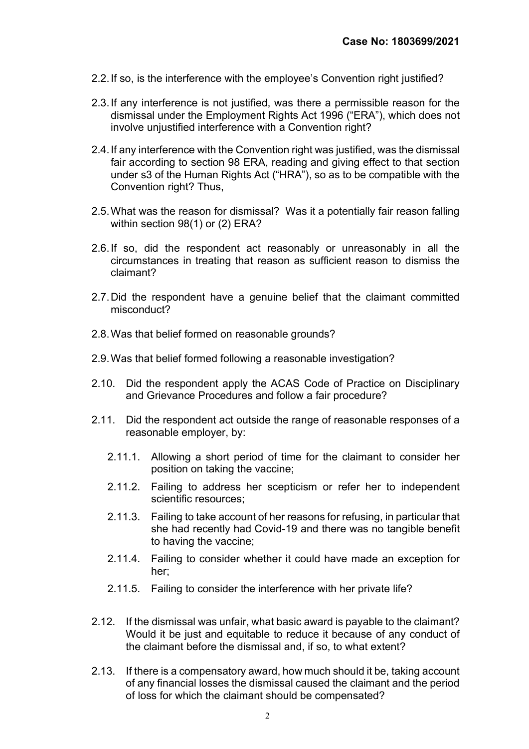- 2.2. If so, is the interference with the employee's Convention right justified?
- 2.3. If any interference is not justified, was there a permissible reason for the dismissal under the Employment Rights Act 1996 ("ERA"), which does not involve unjustified interference with a Convention right?
- 2.4. If any interference with the Convention right was justified, was the dismissal fair according to section 98 ERA, reading and giving effect to that section under s3 of the Human Rights Act ("HRA"), so as to be compatible with the Convention right? Thus,
- 2.5. What was the reason for dismissal? Was it a potentially fair reason falling within section 98(1) or (2) ERA?
- 2.6. If so, did the respondent act reasonably or unreasonably in all the circumstances in treating that reason as sufficient reason to dismiss the claimant?
- 2.7. Did the respondent have a genuine belief that the claimant committed misconduct?
- 2.8. Was that belief formed on reasonable grounds?
- 2.9. Was that belief formed following a reasonable investigation?
- 2.10. Did the respondent apply the ACAS Code of Practice on Disciplinary and Grievance Procedures and follow a fair procedure?
- 2.11. Did the respondent act outside the range of reasonable responses of a reasonable employer, by:
	- 2.11.1. Allowing a short period of time for the claimant to consider her position on taking the vaccine;
	- 2.11.2. Failing to address her scepticism or refer her to independent scientific resources;
	- 2.11.3. Failing to take account of her reasons for refusing, in particular that she had recently had Covid-19 and there was no tangible benefit to having the vaccine;
	- 2.11.4. Failing to consider whether it could have made an exception for her;
	- 2.11.5. Failing to consider the interference with her private life?
- 2.12. If the dismissal was unfair, what basic award is payable to the claimant? Would it be just and equitable to reduce it because of any conduct of the claimant before the dismissal and, if so, to what extent?
- 2.13. If there is a compensatory award, how much should it be, taking account of any financial losses the dismissal caused the claimant and the period of loss for which the claimant should be compensated?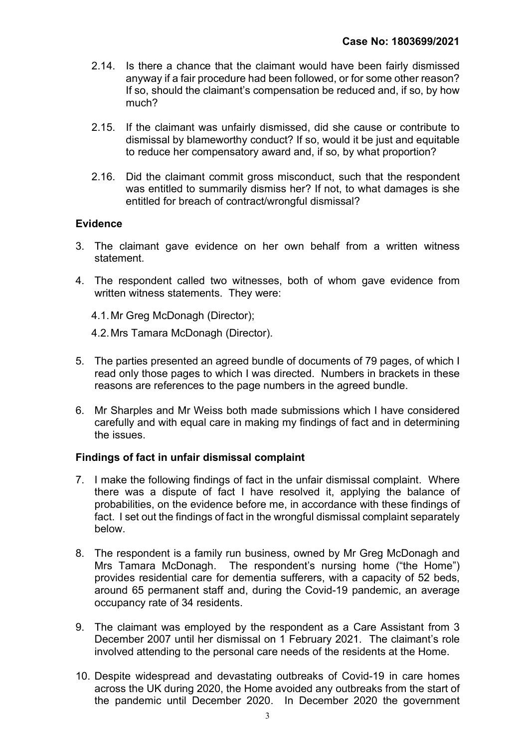- 2.14. Is there a chance that the claimant would have been fairly dismissed anyway if a fair procedure had been followed, or for some other reason? If so, should the claimant's compensation be reduced and, if so, by how much?
- 2.15. If the claimant was unfairly dismissed, did she cause or contribute to dismissal by blameworthy conduct? If so, would it be just and equitable to reduce her compensatory award and, if so, by what proportion?
- 2.16. Did the claimant commit gross misconduct, such that the respondent was entitled to summarily dismiss her? If not, to what damages is she entitled for breach of contract/wrongful dismissal?

#### **Evidence**

- 3. The claimant gave evidence on her own behalf from a written witness statement.
- 4. The respondent called two witnesses, both of whom gave evidence from written witness statements. They were:
	- 4.1. Mr Greg McDonagh (Director);
	- 4.2. Mrs Tamara McDonagh (Director).
- 5. The parties presented an agreed bundle of documents of 79 pages, of which I read only those pages to which I was directed. Numbers in brackets in these reasons are references to the page numbers in the agreed bundle.
- 6. Mr Sharples and Mr Weiss both made submissions which I have considered carefully and with equal care in making my findings of fact and in determining the issues.

#### Findings of fact in unfair dismissal complaint

- 7. I make the following findings of fact in the unfair dismissal complaint. Where there was a dispute of fact I have resolved it, applying the balance of probabilities, on the evidence before me, in accordance with these findings of fact. I set out the findings of fact in the wrongful dismissal complaint separately below.
- 8. The respondent is a family run business, owned by Mr Greg McDonagh and Mrs Tamara McDonagh. The respondent's nursing home ("the Home") provides residential care for dementia sufferers, with a capacity of 52 beds, around 65 permanent staff and, during the Covid-19 pandemic, an average occupancy rate of 34 residents.
- 9. The claimant was employed by the respondent as a Care Assistant from 3 December 2007 until her dismissal on 1 February 2021. The claimant's role involved attending to the personal care needs of the residents at the Home.
- 10. Despite widespread and devastating outbreaks of Covid-19 in care homes across the UK during 2020, the Home avoided any outbreaks from the start of the pandemic until December 2020. In December 2020 the government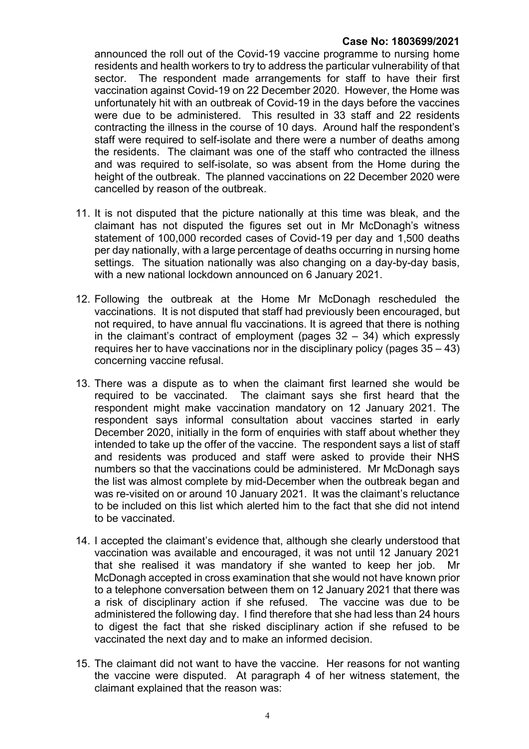### Case No: 1803699/2021

announced the roll out of the Covid-19 vaccine programme to nursing home residents and health workers to try to address the particular vulnerability of that sector. The respondent made arrangements for staff to have their first vaccination against Covid-19 on 22 December 2020. However, the Home was unfortunately hit with an outbreak of Covid-19 in the days before the vaccines were due to be administered. This resulted in 33 staff and 22 residents contracting the illness in the course of 10 days. Around half the respondent's staff were required to self-isolate and there were a number of deaths among the residents. The claimant was one of the staff who contracted the illness and was required to self-isolate, so was absent from the Home during the height of the outbreak. The planned vaccinations on 22 December 2020 were cancelled by reason of the outbreak.

- 11. It is not disputed that the picture nationally at this time was bleak, and the claimant has not disputed the figures set out in Mr McDonagh's witness statement of 100,000 recorded cases of Covid-19 per day and 1,500 deaths per day nationally, with a large percentage of deaths occurring in nursing home settings. The situation nationally was also changing on a day-by-day basis, with a new national lockdown announced on 6 January 2021.
- 12. Following the outbreak at the Home Mr McDonagh rescheduled the vaccinations. It is not disputed that staff had previously been encouraged, but not required, to have annual flu vaccinations. It is agreed that there is nothing in the claimant's contract of employment (pages 32 – 34) which expressly requires her to have vaccinations nor in the disciplinary policy (pages 35 – 43) concerning vaccine refusal.
- 13. There was a dispute as to when the claimant first learned she would be required to be vaccinated. The claimant says she first heard that the respondent might make vaccination mandatory on 12 January 2021. The respondent says informal consultation about vaccines started in early December 2020, initially in the form of enquiries with staff about whether they intended to take up the offer of the vaccine. The respondent says a list of staff and residents was produced and staff were asked to provide their NHS numbers so that the vaccinations could be administered. Mr McDonagh says the list was almost complete by mid-December when the outbreak began and was re-visited on or around 10 January 2021. It was the claimant's reluctance to be included on this list which alerted him to the fact that she did not intend to be vaccinated.
- 14. I accepted the claimant's evidence that, although she clearly understood that vaccination was available and encouraged, it was not until 12 January 2021 that she realised it was mandatory if she wanted to keep her job. Mr McDonagh accepted in cross examination that she would not have known prior to a telephone conversation between them on 12 January 2021 that there was a risk of disciplinary action if she refused. The vaccine was due to be administered the following day. I find therefore that she had less than 24 hours to digest the fact that she risked disciplinary action if she refused to be vaccinated the next day and to make an informed decision.
- 15. The claimant did not want to have the vaccine. Her reasons for not wanting the vaccine were disputed. At paragraph 4 of her witness statement, the claimant explained that the reason was: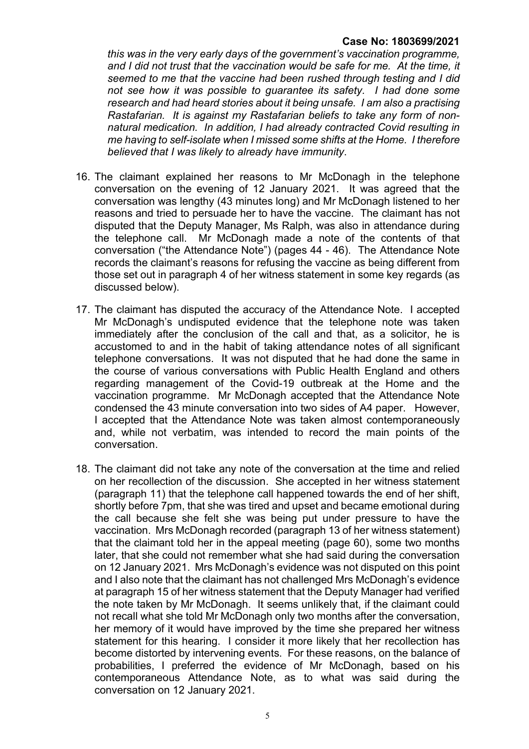#### Case No: 1803699/2021

this was in the very early days of the government's vaccination programme, and I did not trust that the vaccination would be safe for me. At the time, it seemed to me that the vaccine had been rushed through testing and I did not see how it was possible to guarantee its safety. I had done some research and had heard stories about it being unsafe. I am also a practising Rastafarian. It is against my Rastafarian beliefs to take any form of nonnatural medication. In addition, I had already contracted Covid resulting in me having to self-isolate when I missed some shifts at the Home. I therefore believed that I was likely to already have immunity.

- 16. The claimant explained her reasons to Mr McDonagh in the telephone conversation on the evening of 12 January 2021. It was agreed that the conversation was lengthy (43 minutes long) and Mr McDonagh listened to her reasons and tried to persuade her to have the vaccine. The claimant has not disputed that the Deputy Manager, Ms Ralph, was also in attendance during the telephone call. Mr McDonagh made a note of the contents of that conversation ("the Attendance Note") (pages 44 - 46). The Attendance Note records the claimant's reasons for refusing the vaccine as being different from those set out in paragraph 4 of her witness statement in some key regards (as discussed below).
- 17. The claimant has disputed the accuracy of the Attendance Note. I accepted Mr McDonagh's undisputed evidence that the telephone note was taken immediately after the conclusion of the call and that, as a solicitor, he is accustomed to and in the habit of taking attendance notes of all significant telephone conversations. It was not disputed that he had done the same in the course of various conversations with Public Health England and others regarding management of the Covid-19 outbreak at the Home and the vaccination programme. Mr McDonagh accepted that the Attendance Note condensed the 43 minute conversation into two sides of A4 paper. However, I accepted that the Attendance Note was taken almost contemporaneously and, while not verbatim, was intended to record the main points of the conversation.
- 18. The claimant did not take any note of the conversation at the time and relied on her recollection of the discussion. She accepted in her witness statement (paragraph 11) that the telephone call happened towards the end of her shift, shortly before 7pm, that she was tired and upset and became emotional during the call because she felt she was being put under pressure to have the vaccination. Mrs McDonagh recorded (paragraph 13 of her witness statement) that the claimant told her in the appeal meeting (page 60), some two months later, that she could not remember what she had said during the conversation on 12 January 2021. Mrs McDonagh's evidence was not disputed on this point and I also note that the claimant has not challenged Mrs McDonagh's evidence at paragraph 15 of her witness statement that the Deputy Manager had verified the note taken by Mr McDonagh. It seems unlikely that, if the claimant could not recall what she told Mr McDonagh only two months after the conversation, her memory of it would have improved by the time she prepared her witness statement for this hearing. I consider it more likely that her recollection has become distorted by intervening events. For these reasons, on the balance of probabilities, I preferred the evidence of Mr McDonagh, based on his contemporaneous Attendance Note, as to what was said during the conversation on 12 January 2021.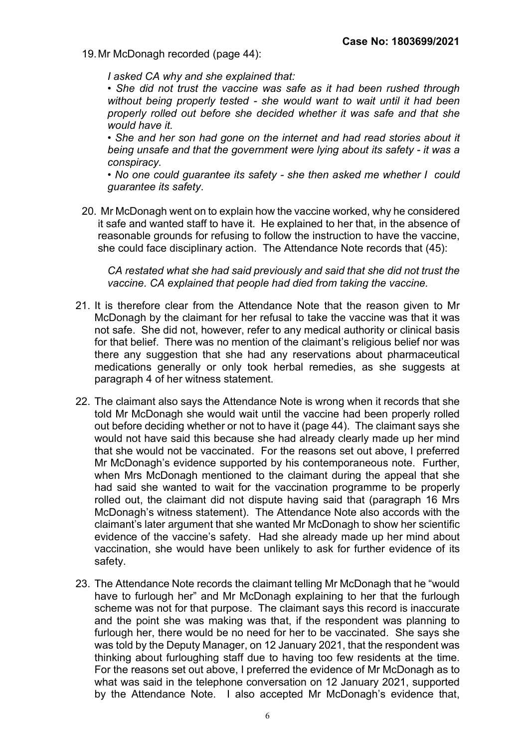19. Mr McDonagh recorded (page 44):

I asked CA why and she explained that:

• She did not trust the vaccine was safe as it had been rushed through without being properly tested - she would want to wait until it had been properly rolled out before she decided whether it was safe and that she would have it.

• She and her son had gone on the internet and had read stories about it being unsafe and that the government were lying about its safety - it was a conspiracy.

• No one could quarantee its safety - she then asked me whether I could guarantee its safety.

20. Mr McDonagh went on to explain how the vaccine worked, why he considered it safe and wanted staff to have it. He explained to her that, in the absence of reasonable grounds for refusing to follow the instruction to have the vaccine, she could face disciplinary action. The Attendance Note records that (45):

CA restated what she had said previously and said that she did not trust the vaccine. CA explained that people had died from taking the vaccine.

- 21. It is therefore clear from the Attendance Note that the reason given to Mr McDonagh by the claimant for her refusal to take the vaccine was that it was not safe. She did not, however, refer to any medical authority or clinical basis for that belief. There was no mention of the claimant's religious belief nor was there any suggestion that she had any reservations about pharmaceutical medications generally or only took herbal remedies, as she suggests at paragraph 4 of her witness statement.
- 22. The claimant also says the Attendance Note is wrong when it records that she told Mr McDonagh she would wait until the vaccine had been properly rolled out before deciding whether or not to have it (page 44). The claimant says she would not have said this because she had already clearly made up her mind that she would not be vaccinated. For the reasons set out above, I preferred Mr McDonagh's evidence supported by his contemporaneous note. Further, when Mrs McDonagh mentioned to the claimant during the appeal that she had said she wanted to wait for the vaccination programme to be properly rolled out, the claimant did not dispute having said that (paragraph 16 Mrs McDonagh's witness statement). The Attendance Note also accords with the claimant's later argument that she wanted Mr McDonagh to show her scientific evidence of the vaccine's safety. Had she already made up her mind about vaccination, she would have been unlikely to ask for further evidence of its safety.
- 23. The Attendance Note records the claimant telling Mr McDonagh that he "would have to furlough her" and Mr McDonagh explaining to her that the furlough scheme was not for that purpose. The claimant says this record is inaccurate and the point she was making was that, if the respondent was planning to furlough her, there would be no need for her to be vaccinated. She says she was told by the Deputy Manager, on 12 January 2021, that the respondent was thinking about furloughing staff due to having too few residents at the time. For the reasons set out above, I preferred the evidence of Mr McDonagh as to what was said in the telephone conversation on 12 January 2021, supported by the Attendance Note. I also accepted Mr McDonagh's evidence that,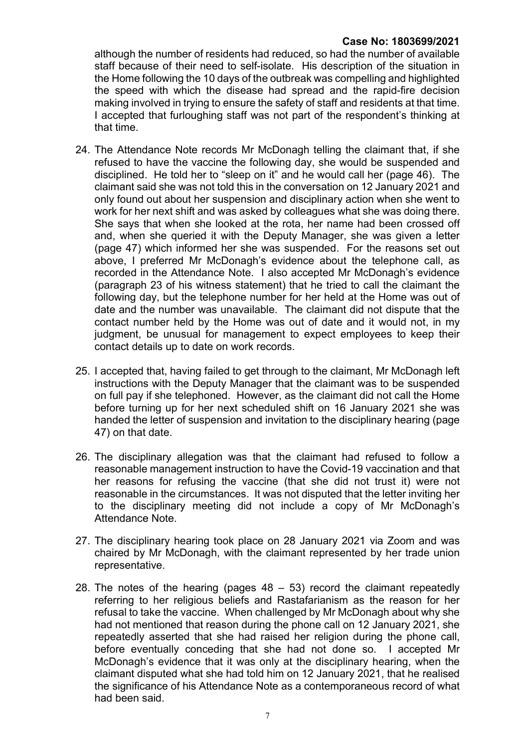## Case No: 1803699/2021

although the number of residents had reduced, so had the number of available staff because of their need to self-isolate. His description of the situation in the Home following the 10 days of the outbreak was compelling and highlighted the speed with which the disease had spread and the rapid-fire decision making involved in trying to ensure the safety of staff and residents at that time. I accepted that furloughing staff was not part of the respondent's thinking at that time.

- 24. The Attendance Note records Mr McDonagh telling the claimant that, if she refused to have the vaccine the following day, she would be suspended and disciplined. He told her to "sleep on it" and he would call her (page 46). The claimant said she was not told this in the conversation on 12 January 2021 and only found out about her suspension and disciplinary action when she went to work for her next shift and was asked by colleagues what she was doing there. She says that when she looked at the rota, her name had been crossed off and, when she queried it with the Deputy Manager, she was given a letter (page 47) which informed her she was suspended. For the reasons set out above, I preferred Mr McDonagh's evidence about the telephone call, as recorded in the Attendance Note. I also accepted Mr McDonagh's evidence (paragraph 23 of his witness statement) that he tried to call the claimant the following day, but the telephone number for her held at the Home was out of date and the number was unavailable. The claimant did not dispute that the contact number held by the Home was out of date and it would not, in my judgment, be unusual for management to expect employees to keep their contact details up to date on work records.
- 25. I accepted that, having failed to get through to the claimant, Mr McDonagh left instructions with the Deputy Manager that the claimant was to be suspended on full pay if she telephoned. However, as the claimant did not call the Home before turning up for her next scheduled shift on 16 January 2021 she was handed the letter of suspension and invitation to the disciplinary hearing (page 47) on that date.
- 26. The disciplinary allegation was that the claimant had refused to follow a reasonable management instruction to have the Covid-19 vaccination and that her reasons for refusing the vaccine (that she did not trust it) were not reasonable in the circumstances. It was not disputed that the letter inviting her to the disciplinary meeting did not include a copy of Mr McDonagh's Attendance Note.
- 27. The disciplinary hearing took place on 28 January 2021 via Zoom and was chaired by Mr McDonagh, with the claimant represented by her trade union representative.
- 28. The notes of the hearing (pages  $48 53$ ) record the claimant repeatedly referring to her religious beliefs and Rastafarianism as the reason for her refusal to take the vaccine. When challenged by Mr McDonagh about why she had not mentioned that reason during the phone call on 12 January 2021, she repeatedly asserted that she had raised her religion during the phone call, before eventually conceding that she had not done so. I accepted Mr McDonagh's evidence that it was only at the disciplinary hearing, when the claimant disputed what she had told him on 12 January 2021, that he realised the significance of his Attendance Note as a contemporaneous record of what had been said.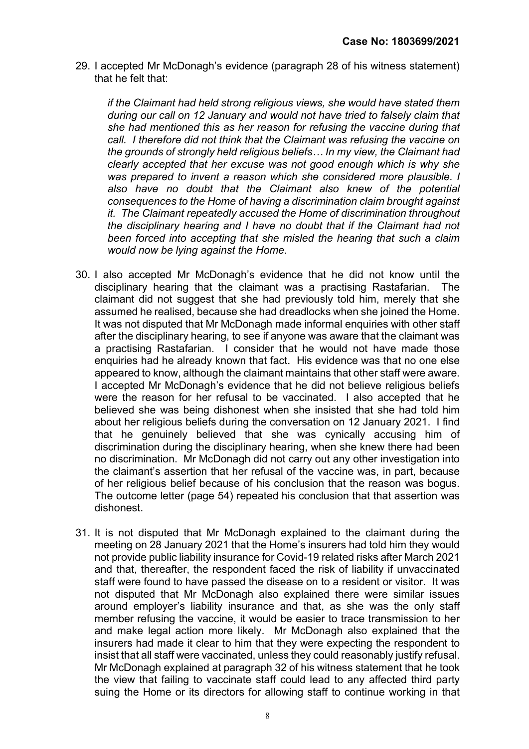29. I accepted Mr McDonagh's evidence (paragraph 28 of his witness statement) that he felt that:

if the Claimant had held strong religious views, she would have stated them during our call on 12 January and would not have tried to falsely claim that she had mentioned this as her reason for refusing the vaccine during that call. I therefore did not think that the Claimant was refusing the vaccine on the grounds of strongly held religious beliefs… In my view, the Claimant had clearly accepted that her excuse was not good enough which is why she was prepared to invent a reason which she considered more plausible. I also have no doubt that the Claimant also knew of the potential consequences to the Home of having a discrimination claim brought against it. The Claimant repeatedly accused the Home of discrimination throughout the disciplinary hearing and I have no doubt that if the Claimant had not been forced into accepting that she misled the hearing that such a claim would now be lying against the Home.

- 30. I also accepted Mr McDonagh's evidence that he did not know until the disciplinary hearing that the claimant was a practising Rastafarian. The claimant did not suggest that she had previously told him, merely that she assumed he realised, because she had dreadlocks when she joined the Home. It was not disputed that Mr McDonagh made informal enquiries with other staff after the disciplinary hearing, to see if anyone was aware that the claimant was a practising Rastafarian. I consider that he would not have made those enquiries had he already known that fact. His evidence was that no one else appeared to know, although the claimant maintains that other staff were aware. I accepted Mr McDonagh's evidence that he did not believe religious beliefs were the reason for her refusal to be vaccinated. I also accepted that he believed she was being dishonest when she insisted that she had told him about her religious beliefs during the conversation on 12 January 2021. I find that he genuinely believed that she was cynically accusing him of discrimination during the disciplinary hearing, when she knew there had been no discrimination. Mr McDonagh did not carry out any other investigation into the claimant's assertion that her refusal of the vaccine was, in part, because of her religious belief because of his conclusion that the reason was bogus. The outcome letter (page 54) repeated his conclusion that that assertion was dishonest.
- 31. It is not disputed that Mr McDonagh explained to the claimant during the meeting on 28 January 2021 that the Home's insurers had told him they would not provide public liability insurance for Covid-19 related risks after March 2021 and that, thereafter, the respondent faced the risk of liability if unvaccinated staff were found to have passed the disease on to a resident or visitor. It was not disputed that Mr McDonagh also explained there were similar issues around employer's liability insurance and that, as she was the only staff member refusing the vaccine, it would be easier to trace transmission to her and make legal action more likely. Mr McDonagh also explained that the insurers had made it clear to him that they were expecting the respondent to insist that all staff were vaccinated, unless they could reasonably justify refusal. Mr McDonagh explained at paragraph 32 of his witness statement that he took the view that failing to vaccinate staff could lead to any affected third party suing the Home or its directors for allowing staff to continue working in that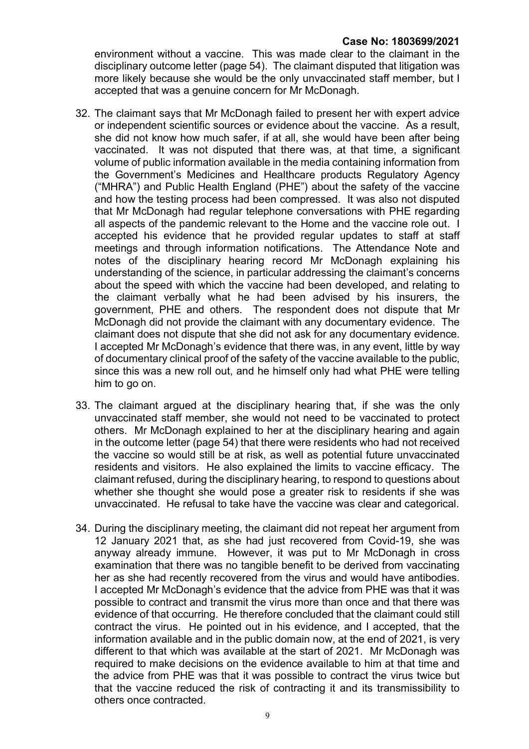environment without a vaccine. This was made clear to the claimant in the disciplinary outcome letter (page 54). The claimant disputed that litigation was more likely because she would be the only unvaccinated staff member, but I accepted that was a genuine concern for Mr McDonagh.

- 32. The claimant says that Mr McDonagh failed to present her with expert advice or independent scientific sources or evidence about the vaccine. As a result, she did not know how much safer, if at all, she would have been after being vaccinated. It was not disputed that there was, at that time, a significant volume of public information available in the media containing information from the Government's Medicines and Healthcare products Regulatory Agency ("MHRA") and Public Health England (PHE") about the safety of the vaccine and how the testing process had been compressed. It was also not disputed that Mr McDonagh had regular telephone conversations with PHE regarding all aspects of the pandemic relevant to the Home and the vaccine role out. I accepted his evidence that he provided regular updates to staff at staff meetings and through information notifications. The Attendance Note and notes of the disciplinary hearing record Mr McDonagh explaining his understanding of the science, in particular addressing the claimant's concerns about the speed with which the vaccine had been developed, and relating to the claimant verbally what he had been advised by his insurers, the government, PHE and others. The respondent does not dispute that Mr McDonagh did not provide the claimant with any documentary evidence. The claimant does not dispute that she did not ask for any documentary evidence. I accepted Mr McDonagh's evidence that there was, in any event, little by way of documentary clinical proof of the safety of the vaccine available to the public, since this was a new roll out, and he himself only had what PHE were telling him to go on.
- 33. The claimant argued at the disciplinary hearing that, if she was the only unvaccinated staff member, she would not need to be vaccinated to protect others. Mr McDonagh explained to her at the disciplinary hearing and again in the outcome letter (page 54) that there were residents who had not received the vaccine so would still be at risk, as well as potential future unvaccinated residents and visitors. He also explained the limits to vaccine efficacy. The claimant refused, during the disciplinary hearing, to respond to questions about whether she thought she would pose a greater risk to residents if she was unvaccinated. He refusal to take have the vaccine was clear and categorical.
- 34. During the disciplinary meeting, the claimant did not repeat her argument from 12 January 2021 that, as she had just recovered from Covid-19, she was anyway already immune. However, it was put to Mr McDonagh in cross examination that there was no tangible benefit to be derived from vaccinating her as she had recently recovered from the virus and would have antibodies. I accepted Mr McDonagh's evidence that the advice from PHE was that it was possible to contract and transmit the virus more than once and that there was evidence of that occurring. He therefore concluded that the claimant could still contract the virus. He pointed out in his evidence, and I accepted, that the information available and in the public domain now, at the end of 2021, is very different to that which was available at the start of 2021. Mr McDonagh was required to make decisions on the evidence available to him at that time and the advice from PHE was that it was possible to contract the virus twice but that the vaccine reduced the risk of contracting it and its transmissibility to others once contracted.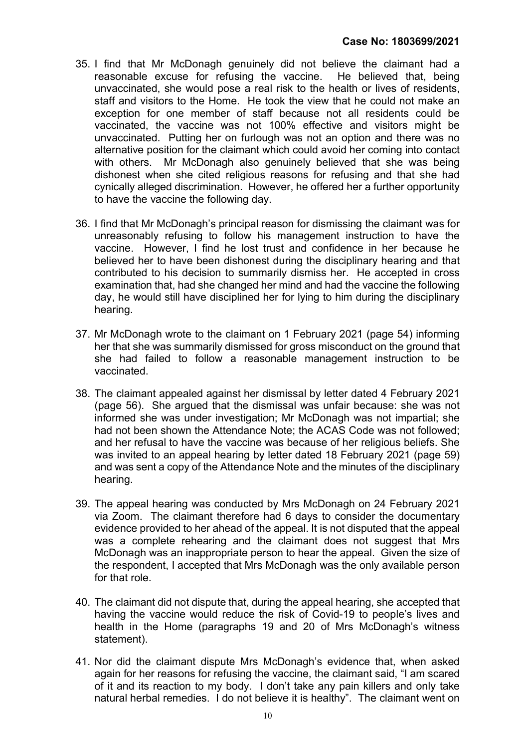- 35. I find that Mr McDonagh genuinely did not believe the claimant had a reasonable excuse for refusing the vaccine. He believed that, being unvaccinated, she would pose a real risk to the health or lives of residents, staff and visitors to the Home. He took the view that he could not make an exception for one member of staff because not all residents could be vaccinated, the vaccine was not 100% effective and visitors might be unvaccinated. Putting her on furlough was not an option and there was no alternative position for the claimant which could avoid her coming into contact with others. Mr McDonagh also genuinely believed that she was being dishonest when she cited religious reasons for refusing and that she had cynically alleged discrimination. However, he offered her a further opportunity to have the vaccine the following day.
- 36. I find that Mr McDonagh's principal reason for dismissing the claimant was for unreasonably refusing to follow his management instruction to have the vaccine. However, I find he lost trust and confidence in her because he believed her to have been dishonest during the disciplinary hearing and that contributed to his decision to summarily dismiss her. He accepted in cross examination that, had she changed her mind and had the vaccine the following day, he would still have disciplined her for lying to him during the disciplinary hearing.
- 37. Mr McDonagh wrote to the claimant on 1 February 2021 (page 54) informing her that she was summarily dismissed for gross misconduct on the ground that she had failed to follow a reasonable management instruction to be vaccinated.
- 38. The claimant appealed against her dismissal by letter dated 4 February 2021 (page 56). She argued that the dismissal was unfair because: she was not informed she was under investigation; Mr McDonagh was not impartial; she had not been shown the Attendance Note; the ACAS Code was not followed; and her refusal to have the vaccine was because of her religious beliefs. She was invited to an appeal hearing by letter dated 18 February 2021 (page 59) and was sent a copy of the Attendance Note and the minutes of the disciplinary hearing.
- 39. The appeal hearing was conducted by Mrs McDonagh on 24 February 2021 via Zoom. The claimant therefore had 6 days to consider the documentary evidence provided to her ahead of the appeal. It is not disputed that the appeal was a complete rehearing and the claimant does not suggest that Mrs McDonagh was an inappropriate person to hear the appeal. Given the size of the respondent, I accepted that Mrs McDonagh was the only available person for that role.
- 40. The claimant did not dispute that, during the appeal hearing, she accepted that having the vaccine would reduce the risk of Covid-19 to people's lives and health in the Home (paragraphs 19 and 20 of Mrs McDonagh's witness statement).
- 41. Nor did the claimant dispute Mrs McDonagh's evidence that, when asked again for her reasons for refusing the vaccine, the claimant said, "I am scared of it and its reaction to my body. I don't take any pain killers and only take natural herbal remedies. I do not believe it is healthy". The claimant went on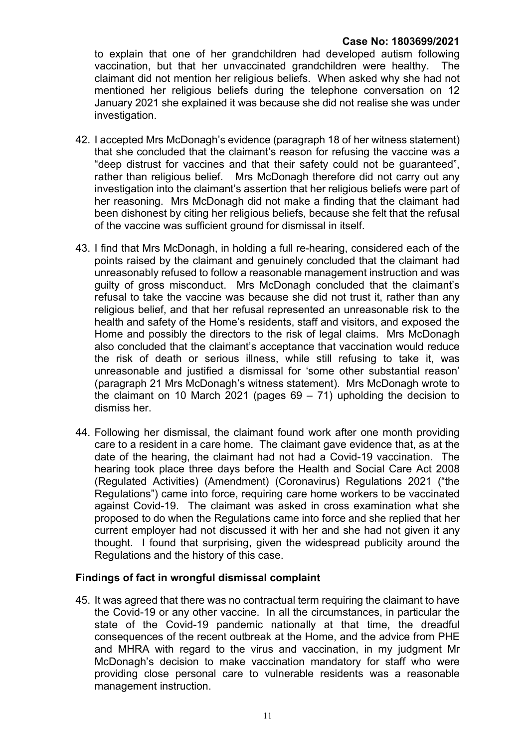to explain that one of her grandchildren had developed autism following vaccination, but that her unvaccinated grandchildren were healthy. The claimant did not mention her religious beliefs. When asked why she had not mentioned her religious beliefs during the telephone conversation on 12 January 2021 she explained it was because she did not realise she was under investigation.

- 42. I accepted Mrs McDonagh's evidence (paragraph 18 of her witness statement) that she concluded that the claimant's reason for refusing the vaccine was a "deep distrust for vaccines and that their safety could not be guaranteed", rather than religious belief. Mrs McDonagh therefore did not carry out any investigation into the claimant's assertion that her religious beliefs were part of her reasoning. Mrs McDonagh did not make a finding that the claimant had been dishonest by citing her religious beliefs, because she felt that the refusal of the vaccine was sufficient ground for dismissal in itself.
- 43. I find that Mrs McDonagh, in holding a full re-hearing, considered each of the points raised by the claimant and genuinely concluded that the claimant had unreasonably refused to follow a reasonable management instruction and was guilty of gross misconduct. Mrs McDonagh concluded that the claimant's refusal to take the vaccine was because she did not trust it, rather than any religious belief, and that her refusal represented an unreasonable risk to the health and safety of the Home's residents, staff and visitors, and exposed the Home and possibly the directors to the risk of legal claims. Mrs McDonagh also concluded that the claimant's acceptance that vaccination would reduce the risk of death or serious illness, while still refusing to take it, was unreasonable and justified a dismissal for 'some other substantial reason' (paragraph 21 Mrs McDonagh's witness statement). Mrs McDonagh wrote to the claimant on 10 March 2021 (pages  $69 - 71$ ) upholding the decision to dismiss her.
- 44. Following her dismissal, the claimant found work after one month providing care to a resident in a care home. The claimant gave evidence that, as at the date of the hearing, the claimant had not had a Covid-19 vaccination. The hearing took place three days before the Health and Social Care Act 2008 (Regulated Activities) (Amendment) (Coronavirus) Regulations 2021 ("the Regulations") came into force, requiring care home workers to be vaccinated against Covid-19. The claimant was asked in cross examination what she proposed to do when the Regulations came into force and she replied that her current employer had not discussed it with her and she had not given it any thought. I found that surprising, given the widespread publicity around the Regulations and the history of this case.

# Findings of fact in wrongful dismissal complaint

45. It was agreed that there was no contractual term requiring the claimant to have the Covid-19 or any other vaccine. In all the circumstances, in particular the state of the Covid-19 pandemic nationally at that time, the dreadful consequences of the recent outbreak at the Home, and the advice from PHE and MHRA with regard to the virus and vaccination, in my judgment Mr McDonagh's decision to make vaccination mandatory for staff who were providing close personal care to vulnerable residents was a reasonable management instruction.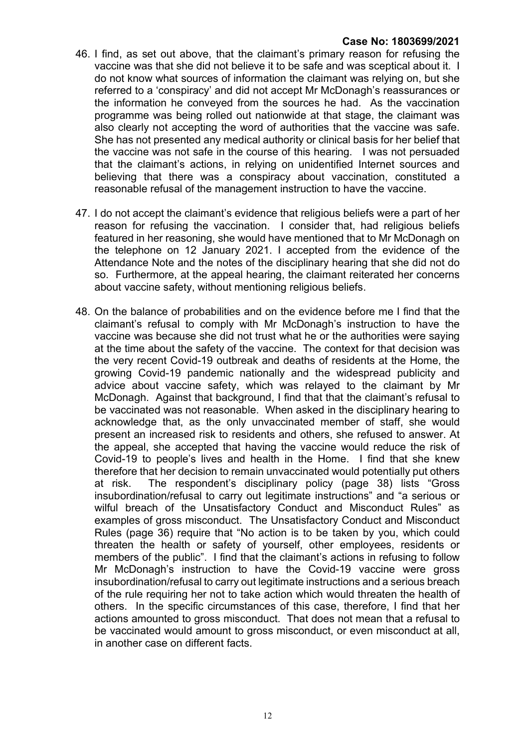- 46. I find, as set out above, that the claimant's primary reason for refusing the vaccine was that she did not believe it to be safe and was sceptical about it. I do not know what sources of information the claimant was relying on, but she referred to a 'conspiracy' and did not accept Mr McDonagh's reassurances or the information he conveyed from the sources he had. As the vaccination programme was being rolled out nationwide at that stage, the claimant was also clearly not accepting the word of authorities that the vaccine was safe. She has not presented any medical authority or clinical basis for her belief that the vaccine was not safe in the course of this hearing. I was not persuaded that the claimant's actions, in relying on unidentified Internet sources and believing that there was a conspiracy about vaccination, constituted a reasonable refusal of the management instruction to have the vaccine.
- 47. I do not accept the claimant's evidence that religious beliefs were a part of her reason for refusing the vaccination. I consider that, had religious beliefs featured in her reasoning, she would have mentioned that to Mr McDonagh on the telephone on 12 January 2021. I accepted from the evidence of the Attendance Note and the notes of the disciplinary hearing that she did not do so. Furthermore, at the appeal hearing, the claimant reiterated her concerns about vaccine safety, without mentioning religious beliefs.
- 48. On the balance of probabilities and on the evidence before me I find that the claimant's refusal to comply with Mr McDonagh's instruction to have the vaccine was because she did not trust what he or the authorities were saying at the time about the safety of the vaccine. The context for that decision was the very recent Covid-19 outbreak and deaths of residents at the Home, the growing Covid-19 pandemic nationally and the widespread publicity and advice about vaccine safety, which was relayed to the claimant by Mr McDonagh. Against that background, I find that that the claimant's refusal to be vaccinated was not reasonable. When asked in the disciplinary hearing to acknowledge that, as the only unvaccinated member of staff, she would present an increased risk to residents and others, she refused to answer. At the appeal, she accepted that having the vaccine would reduce the risk of Covid-19 to people's lives and health in the Home. I find that she knew therefore that her decision to remain unvaccinated would potentially put others at risk. The respondent's disciplinary policy (page 38) lists "Gross insubordination/refusal to carry out legitimate instructions" and "a serious or wilful breach of the Unsatisfactory Conduct and Misconduct Rules" as examples of gross misconduct. The Unsatisfactory Conduct and Misconduct Rules (page 36) require that "No action is to be taken by you, which could threaten the health or safety of yourself, other employees, residents or members of the public". I find that the claimant's actions in refusing to follow Mr McDonagh's instruction to have the Covid-19 vaccine were gross insubordination/refusal to carry out legitimate instructions and a serious breach of the rule requiring her not to take action which would threaten the health of others. In the specific circumstances of this case, therefore, I find that her actions amounted to gross misconduct. That does not mean that a refusal to be vaccinated would amount to gross misconduct, or even misconduct at all, in another case on different facts.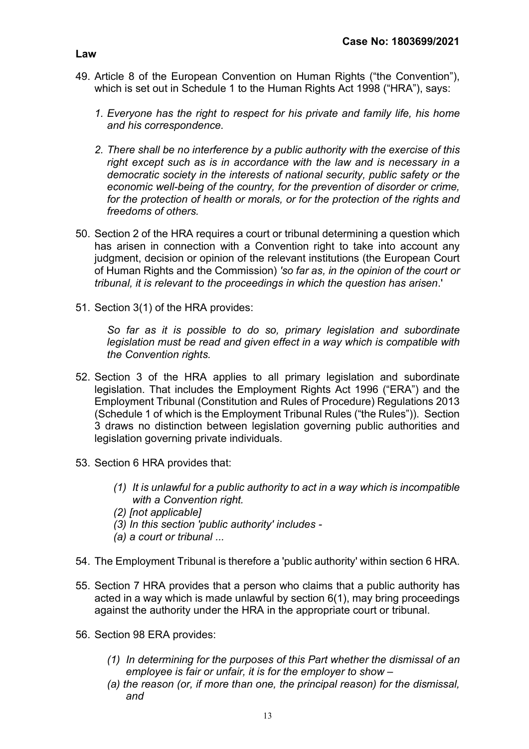- 49. Article 8 of the European Convention on Human Rights ("the Convention"), which is set out in Schedule 1 to the Human Rights Act 1998 ("HRA"), says:
	- 1. Everyone has the right to respect for his private and family life, his home and his correspondence.
	- 2. There shall be no interference by a public authority with the exercise of this right except such as is in accordance with the law and is necessary in a democratic society in the interests of national security, public safety or the economic well-being of the country, for the prevention of disorder or crime, for the protection of health or morals, or for the protection of the rights and freedoms of others.
- 50. Section 2 of the HRA requires a court or tribunal determining a question which has arisen in connection with a Convention right to take into account any judgment, decision or opinion of the relevant institutions (the European Court of Human Rights and the Commission) 'so far as, in the opinion of the court or tribunal, it is relevant to the proceedings in which the question has arisen.'
- 51. Section 3(1) of the HRA provides:

So far as it is possible to do so, primary legislation and subordinate legislation must be read and given effect in a way which is compatible with the Convention rights.

- 52. Section 3 of the HRA applies to all primary legislation and subordinate legislation. That includes the Employment Rights Act 1996 ("ERA") and the Employment Tribunal (Constitution and Rules of Procedure) Regulations 2013 (Schedule 1 of which is the Employment Tribunal Rules ("the Rules")). Section 3 draws no distinction between legislation governing public authorities and legislation governing private individuals.
- 53. Section 6 HRA provides that:
	- (1) It is unlawful for a public authority to act in a way which is incompatible with a Convention right.
	- (2) [not applicable]
	- (3) In this section 'public authority' includes -
	- (a) a court or tribunal ...
- 54. The Employment Tribunal is therefore a 'public authority' within section 6 HRA.
- 55. Section 7 HRA provides that a person who claims that a public authority has acted in a way which is made unlawful by section 6(1), may bring proceedings against the authority under the HRA in the appropriate court or tribunal.
- 56. Section 98 ERA provides:
	- (1) In determining for the purposes of this Part whether the dismissal of an employee is fair or unfair, it is for the employer to show –
	- (a) the reason (or, if more than one, the principal reason) for the dismissal, and

#### Law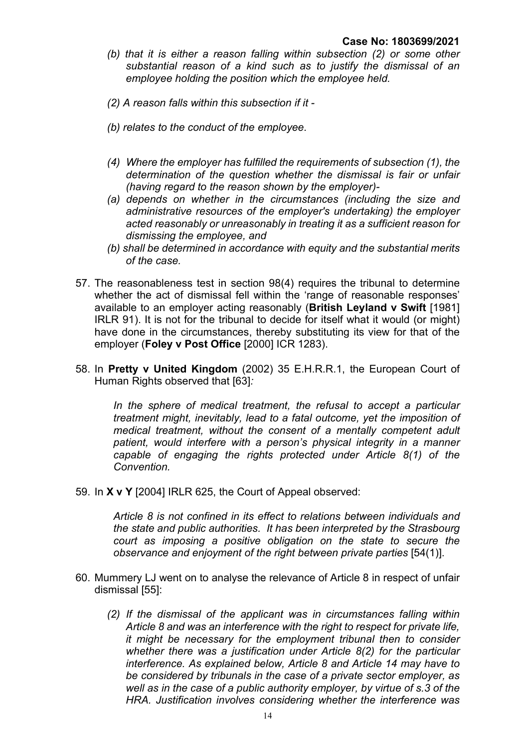- (b) that it is either a reason falling within subsection (2) or some other substantial reason of a kind such as to justify the dismissal of an employee holding the position which the employee held.
- (2) A reason falls within this subsection if it -
- (b) relates to the conduct of the employee.
- (4) Where the employer has fulfilled the requirements of subsection (1), the determination of the question whether the dismissal is fair or unfair (having regard to the reason shown by the employer)-
- (a) depends on whether in the circumstances (including the size and administrative resources of the employer's undertaking) the employer acted reasonably or unreasonably in treating it as a sufficient reason for dismissing the employee, and
- (b) shall be determined in accordance with equity and the substantial merits of the case.
- 57. The reasonableness test in section 98(4) requires the tribunal to determine whether the act of dismissal fell within the 'range of reasonable responses' available to an employer acting reasonably (British Leyland v Swift [1981] IRLR 91). It is not for the tribunal to decide for itself what it would (or might) have done in the circumstances, thereby substituting its view for that of the employer (Foley v Post Office [2000] ICR 1283).
- 58. In Pretty v United Kingdom (2002) 35 E.H.R.R.1, the European Court of Human Rights observed that [63]:

In the sphere of medical treatment, the refusal to accept a particular treatment might, inevitably, lead to a fatal outcome, yet the imposition of medical treatment, without the consent of a mentally competent adult patient, would interfere with a person's physical integrity in a manner capable of engaging the rights protected under Article 8(1) of the Convention.

59. In X v Y [2004] IRLR 625, the Court of Appeal observed:

Article 8 is not confined in its effect to relations between individuals and the state and public authorities. It has been interpreted by the Strasbourg court as imposing a positive obligation on the state to secure the observance and enjoyment of the right between private parties [54(1)].

- 60. Mummery LJ went on to analyse the relevance of Article 8 in respect of unfair dismissal [55]:
	- (2) If the dismissal of the applicant was in circumstances falling within Article 8 and was an interference with the right to respect for private life, it might be necessary for the employment tribunal then to consider whether there was a justification under Article 8(2) for the particular interference. As explained below, Article 8 and Article 14 may have to be considered by tribunals in the case of a private sector employer, as well as in the case of a public authority employer, by virtue of s.3 of the HRA. Justification involves considering whether the interference was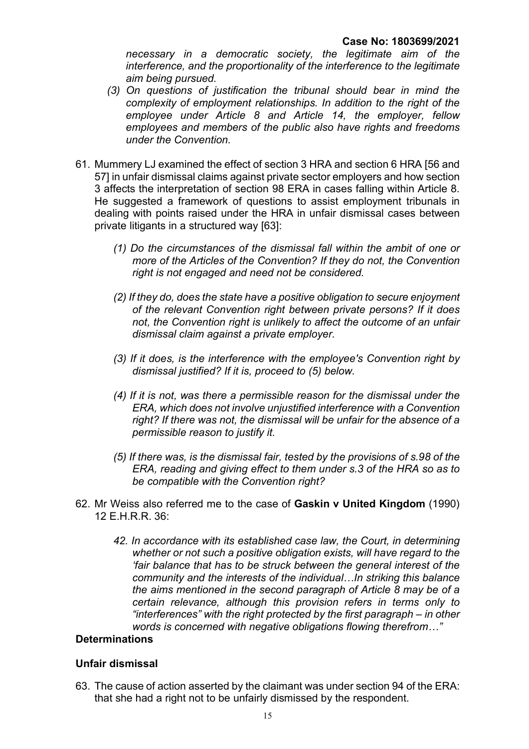necessary in a democratic society, the legitimate aim of the interference, and the proportionality of the interference to the legitimate aim being pursued.

- (3) On questions of justification the tribunal should bear in mind the complexity of employment relationships. In addition to the right of the employee under Article 8 and Article 14, the employer, fellow employees and members of the public also have rights and freedoms under the Convention.
- 61. Mummery LJ examined the effect of section 3 HRA and section 6 HRA [56 and 57] in unfair dismissal claims against private sector employers and how section 3 affects the interpretation of section 98 ERA in cases falling within Article 8. He suggested a framework of questions to assist employment tribunals in dealing with points raised under the HRA in unfair dismissal cases between private litigants in a structured way [63]:
	- (1) Do the circumstances of the dismissal fall within the ambit of one or more of the Articles of the Convention? If they do not, the Convention right is not engaged and need not be considered.
	- (2) If they do, does the state have a positive obligation to secure enjoyment of the relevant Convention right between private persons? If it does not, the Convention right is unlikely to affect the outcome of an unfair dismissal claim against a private employer.
	- (3) If it does, is the interference with the employee's Convention right by dismissal justified? If it is, proceed to (5) below.
	- (4) If it is not, was there a permissible reason for the dismissal under the ERA, which does not involve unjustified interference with a Convention right? If there was not, the dismissal will be unfair for the absence of a permissible reason to justify it.
	- (5) If there was, is the dismissal fair, tested by the provisions of s.98 of the ERA, reading and giving effect to them under s.3 of the HRA so as to be compatible with the Convention right?
- 62. Mr Weiss also referred me to the case of Gaskin v United Kingdom (1990) 12 E.H.R.R. 36:
	- 42. In accordance with its established case law, the Court, in determining whether or not such a positive obligation exists, will have regard to the 'fair balance that has to be struck between the general interest of the community and the interests of the individual…In striking this balance the aims mentioned in the second paragraph of Article 8 may be of a certain relevance, although this provision refers in terms only to "interferences" with the right protected by the first paragraph – in other words is concerned with negative obligations flowing therefrom…"

#### **Determinations**

#### Unfair dismissal

63. The cause of action asserted by the claimant was under section 94 of the ERA: that she had a right not to be unfairly dismissed by the respondent.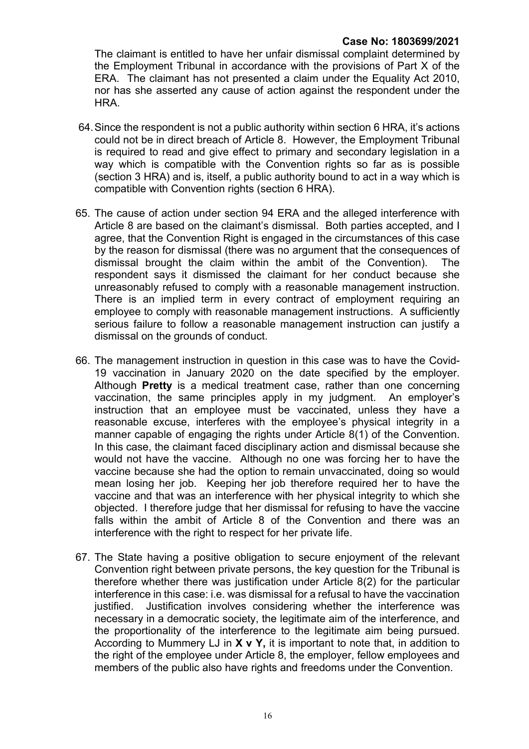The claimant is entitled to have her unfair dismissal complaint determined by the Employment Tribunal in accordance with the provisions of Part X of the ERA. The claimant has not presented a claim under the Equality Act 2010, nor has she asserted any cause of action against the respondent under the HRA.

- 64. Since the respondent is not a public authority within section 6 HRA, it's actions could not be in direct breach of Article 8. However, the Employment Tribunal is required to read and give effect to primary and secondary legislation in a way which is compatible with the Convention rights so far as is possible (section 3 HRA) and is, itself, a public authority bound to act in a way which is compatible with Convention rights (section 6 HRA).
- 65. The cause of action under section 94 ERA and the alleged interference with Article 8 are based on the claimant's dismissal. Both parties accepted, and I agree, that the Convention Right is engaged in the circumstances of this case by the reason for dismissal (there was no argument that the consequences of dismissal brought the claim within the ambit of the Convention). The respondent says it dismissed the claimant for her conduct because she unreasonably refused to comply with a reasonable management instruction. There is an implied term in every contract of employment requiring an employee to comply with reasonable management instructions. A sufficiently serious failure to follow a reasonable management instruction can justify a dismissal on the grounds of conduct.
- 66. The management instruction in question in this case was to have the Covid-19 vaccination in January 2020 on the date specified by the employer. Although Pretty is a medical treatment case, rather than one concerning vaccination, the same principles apply in my judgment. An employer's instruction that an employee must be vaccinated, unless they have a reasonable excuse, interferes with the employee's physical integrity in a manner capable of engaging the rights under Article 8(1) of the Convention. In this case, the claimant faced disciplinary action and dismissal because she would not have the vaccine. Although no one was forcing her to have the vaccine because she had the option to remain unvaccinated, doing so would mean losing her job. Keeping her job therefore required her to have the vaccine and that was an interference with her physical integrity to which she objected. I therefore judge that her dismissal for refusing to have the vaccine falls within the ambit of Article 8 of the Convention and there was an interference with the right to respect for her private life.
- 67. The State having a positive obligation to secure enjoyment of the relevant Convention right between private persons, the key question for the Tribunal is therefore whether there was justification under Article 8(2) for the particular interference in this case: i.e. was dismissal for a refusal to have the vaccination justified. Justification involves considering whether the interference was necessary in a democratic society, the legitimate aim of the interference, and the proportionality of the interference to the legitimate aim being pursued. According to Mummery LJ in  $X \vee Y$ , it is important to note that, in addition to the right of the employee under Article 8, the employer, fellow employees and members of the public also have rights and freedoms under the Convention.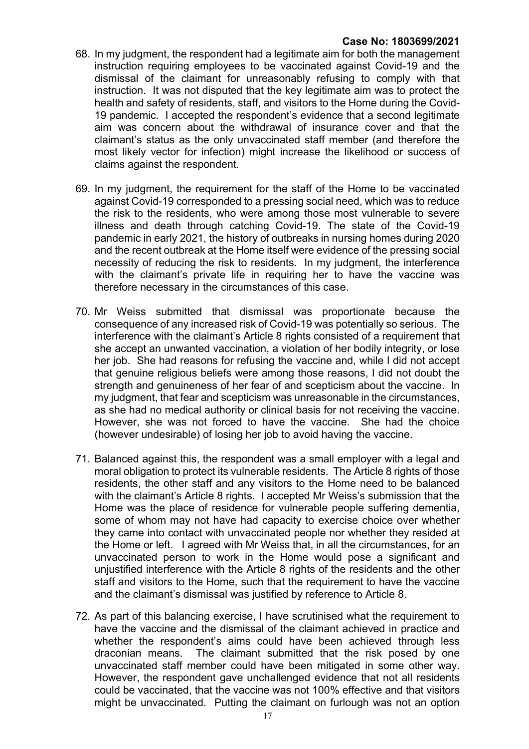- 68. In my judgment, the respondent had a legitimate aim for both the management instruction requiring employees to be vaccinated against Covid-19 and the dismissal of the claimant for unreasonably refusing to comply with that instruction. It was not disputed that the key legitimate aim was to protect the health and safety of residents, staff, and visitors to the Home during the Covid-19 pandemic. I accepted the respondent's evidence that a second legitimate aim was concern about the withdrawal of insurance cover and that the claimant's status as the only unvaccinated staff member (and therefore the most likely vector for infection) might increase the likelihood or success of claims against the respondent.
- 69. In my judgment, the requirement for the staff of the Home to be vaccinated against Covid-19 corresponded to a pressing social need, which was to reduce the risk to the residents, who were among those most vulnerable to severe illness and death through catching Covid-19. The state of the Covid-19 pandemic in early 2021, the history of outbreaks in nursing homes during 2020 and the recent outbreak at the Home itself were evidence of the pressing social necessity of reducing the risk to residents. In my judgment, the interference with the claimant's private life in requiring her to have the vaccine was therefore necessary in the circumstances of this case.
- 70. Mr Weiss submitted that dismissal was proportionate because the consequence of any increased risk of Covid-19 was potentially so serious. The interference with the claimant's Article 8 rights consisted of a requirement that she accept an unwanted vaccination, a violation of her bodily integrity, or lose her job. She had reasons for refusing the vaccine and, while I did not accept that genuine religious beliefs were among those reasons, I did not doubt the strength and genuineness of her fear of and scepticism about the vaccine. In my judgment, that fear and scepticism was unreasonable in the circumstances, as she had no medical authority or clinical basis for not receiving the vaccine. However, she was not forced to have the vaccine. She had the choice (however undesirable) of losing her job to avoid having the vaccine.
- 71. Balanced against this, the respondent was a small employer with a legal and moral obligation to protect its vulnerable residents. The Article 8 rights of those residents, the other staff and any visitors to the Home need to be balanced with the claimant's Article 8 rights. I accepted Mr Weiss's submission that the Home was the place of residence for vulnerable people suffering dementia, some of whom may not have had capacity to exercise choice over whether they came into contact with unvaccinated people nor whether they resided at the Home or left. I agreed with Mr Weiss that, in all the circumstances, for an unvaccinated person to work in the Home would pose a significant and unjustified interference with the Article 8 rights of the residents and the other staff and visitors to the Home, such that the requirement to have the vaccine and the claimant's dismissal was justified by reference to Article 8.
- 72. As part of this balancing exercise, I have scrutinised what the requirement to have the vaccine and the dismissal of the claimant achieved in practice and whether the respondent's aims could have been achieved through less draconian means. The claimant submitted that the risk posed by one unvaccinated staff member could have been mitigated in some other way. However, the respondent gave unchallenged evidence that not all residents could be vaccinated, that the vaccine was not 100% effective and that visitors might be unvaccinated. Putting the claimant on furlough was not an option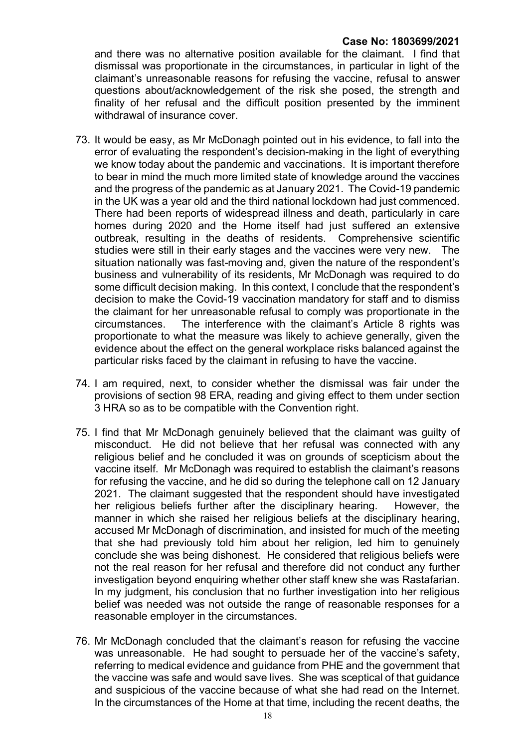and there was no alternative position available for the claimant. I find that dismissal was proportionate in the circumstances, in particular in light of the claimant's unreasonable reasons for refusing the vaccine, refusal to answer questions about/acknowledgement of the risk she posed, the strength and finality of her refusal and the difficult position presented by the imminent withdrawal of insurance cover

- 73. It would be easy, as Mr McDonagh pointed out in his evidence, to fall into the error of evaluating the respondent's decision-making in the light of everything we know today about the pandemic and vaccinations. It is important therefore to bear in mind the much more limited state of knowledge around the vaccines and the progress of the pandemic as at January 2021. The Covid-19 pandemic in the UK was a year old and the third national lockdown had just commenced. There had been reports of widespread illness and death, particularly in care homes during 2020 and the Home itself had just suffered an extensive outbreak, resulting in the deaths of residents. Comprehensive scientific studies were still in their early stages and the vaccines were very new. The situation nationally was fast-moving and, given the nature of the respondent's business and vulnerability of its residents, Mr McDonagh was required to do some difficult decision making. In this context, I conclude that the respondent's decision to make the Covid-19 vaccination mandatory for staff and to dismiss the claimant for her unreasonable refusal to comply was proportionate in the circumstances. The interference with the claimant's Article 8 rights was proportionate to what the measure was likely to achieve generally, given the evidence about the effect on the general workplace risks balanced against the particular risks faced by the claimant in refusing to have the vaccine.
- 74. I am required, next, to consider whether the dismissal was fair under the provisions of section 98 ERA, reading and giving effect to them under section 3 HRA so as to be compatible with the Convention right.
- 75. I find that Mr McDonagh genuinely believed that the claimant was guilty of misconduct. He did not believe that her refusal was connected with any religious belief and he concluded it was on grounds of scepticism about the vaccine itself. Mr McDonagh was required to establish the claimant's reasons for refusing the vaccine, and he did so during the telephone call on 12 January 2021. The claimant suggested that the respondent should have investigated her religious beliefs further after the disciplinary hearing. However, the manner in which she raised her religious beliefs at the disciplinary hearing, accused Mr McDonagh of discrimination, and insisted for much of the meeting that she had previously told him about her religion, led him to genuinely conclude she was being dishonest. He considered that religious beliefs were not the real reason for her refusal and therefore did not conduct any further investigation beyond enquiring whether other staff knew she was Rastafarian. In my judgment, his conclusion that no further investigation into her religious belief was needed was not outside the range of reasonable responses for a reasonable employer in the circumstances.
- 76. Mr McDonagh concluded that the claimant's reason for refusing the vaccine was unreasonable. He had sought to persuade her of the vaccine's safety, referring to medical evidence and guidance from PHE and the government that the vaccine was safe and would save lives. She was sceptical of that guidance and suspicious of the vaccine because of what she had read on the Internet. In the circumstances of the Home at that time, including the recent deaths, the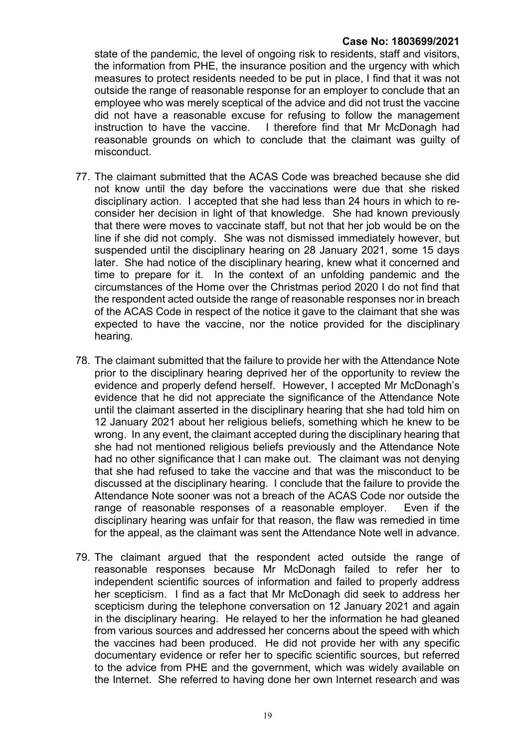state of the pandemic, the level of ongoing risk to residents, staff and visitors, the information from PHE, the insurance position and the urgency with which measures to protect residents needed to be put in place, I find that it was not outside the range of reasonable response for an employer to conclude that an employee who was merely sceptical of the advice and did not trust the vaccine did not have a reasonable excuse for refusing to follow the management instruction to have the vaccine. I therefore find that Mr McDonagh had reasonable grounds on which to conclude that the claimant was guilty of misconduct.

- 77. The claimant submitted that the ACAS Code was breached because she did not know until the day before the vaccinations were due that she risked disciplinary action. I accepted that she had less than 24 hours in which to reconsider her decision in light of that knowledge. She had known previously that there were moves to vaccinate staff, but not that her job would be on the line if she did not comply. She was not dismissed immediately however, but suspended until the disciplinary hearing on 28 January 2021, some 15 days later. She had notice of the disciplinary hearing, knew what it concerned and time to prepare for it. In the context of an unfolding pandemic and the circumstances of the Home over the Christmas period 2020 I do not find that the respondent acted outside the range of reasonable responses nor in breach of the ACAS Code in respect of the notice it gave to the claimant that she was expected to have the vaccine, nor the notice provided for the disciplinary hearing.
- 78. The claimant submitted that the failure to provide her with the Attendance Note prior to the disciplinary hearing deprived her of the opportunity to review the evidence and properly defend herself. However, I accepted Mr McDonagh's evidence that he did not appreciate the significance of the Attendance Note until the claimant asserted in the disciplinary hearing that she had told him on 12 January 2021 about her religious beliefs, something which he knew to be wrong. In any event, the claimant accepted during the disciplinary hearing that she had not mentioned religious beliefs previously and the Attendance Note had no other significance that I can make out. The claimant was not denying that she had refused to take the vaccine and that was the misconduct to be discussed at the disciplinary hearing. I conclude that the failure to provide the Attendance Note sooner was not a breach of the ACAS Code nor outside the range of reasonable responses of a reasonable employer. Even if the disciplinary hearing was unfair for that reason, the flaw was remedied in time for the appeal, as the claimant was sent the Attendance Note well in advance.
- 79. The claimant argued that the respondent acted outside the range of reasonable responses because Mr McDonagh failed to refer her to independent scientific sources of information and failed to properly address her scepticism. I find as a fact that Mr McDonagh did seek to address her scepticism during the telephone conversation on 12 January 2021 and again in the disciplinary hearing. He relayed to her the information he had gleaned from various sources and addressed her concerns about the speed with which the vaccines had been produced. He did not provide her with any specific documentary evidence or refer her to specific scientific sources, but referred to the advice from PHE and the government, which was widely available on the Internet. She referred to having done her own Internet research and was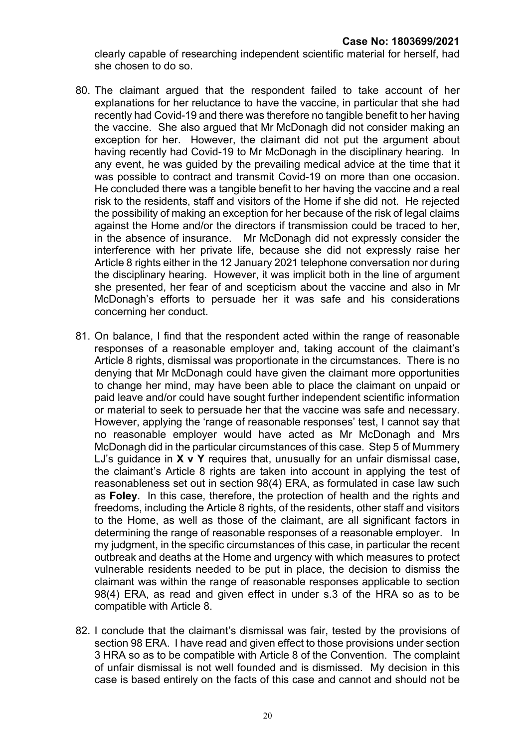clearly capable of researching independent scientific material for herself, had she chosen to do so.

- 80. The claimant argued that the respondent failed to take account of her explanations for her reluctance to have the vaccine, in particular that she had recently had Covid-19 and there was therefore no tangible benefit to her having the vaccine. She also argued that Mr McDonagh did not consider making an exception for her. However, the claimant did not put the argument about having recently had Covid-19 to Mr McDonagh in the disciplinary hearing. In any event, he was guided by the prevailing medical advice at the time that it was possible to contract and transmit Covid-19 on more than one occasion. He concluded there was a tangible benefit to her having the vaccine and a real risk to the residents, staff and visitors of the Home if she did not. He rejected the possibility of making an exception for her because of the risk of legal claims against the Home and/or the directors if transmission could be traced to her, in the absence of insurance. Mr McDonagh did not expressly consider the interference with her private life, because she did not expressly raise her Article 8 rights either in the 12 January 2021 telephone conversation nor during the disciplinary hearing. However, it was implicit both in the line of argument she presented, her fear of and scepticism about the vaccine and also in Mr McDonagh's efforts to persuade her it was safe and his considerations concerning her conduct.
- 81. On balance, I find that the respondent acted within the range of reasonable responses of a reasonable employer and, taking account of the claimant's Article 8 rights, dismissal was proportionate in the circumstances. There is no denying that Mr McDonagh could have given the claimant more opportunities to change her mind, may have been able to place the claimant on unpaid or paid leave and/or could have sought further independent scientific information or material to seek to persuade her that the vaccine was safe and necessary. However, applying the 'range of reasonable responses' test, I cannot say that no reasonable employer would have acted as Mr McDonagh and Mrs McDonagh did in the particular circumstances of this case. Step 5 of Mummery LJ's guidance in  $X \vee Y$  requires that, unusually for an unfair dismissal case, the claimant's Article 8 rights are taken into account in applying the test of reasonableness set out in section 98(4) ERA, as formulated in case law such as Foley. In this case, therefore, the protection of health and the rights and freedoms, including the Article 8 rights, of the residents, other staff and visitors to the Home, as well as those of the claimant, are all significant factors in determining the range of reasonable responses of a reasonable employer. In my judgment, in the specific circumstances of this case, in particular the recent outbreak and deaths at the Home and urgency with which measures to protect vulnerable residents needed to be put in place, the decision to dismiss the claimant was within the range of reasonable responses applicable to section 98(4) ERA, as read and given effect in under s.3 of the HRA so as to be compatible with Article 8.
- 82. I conclude that the claimant's dismissal was fair, tested by the provisions of section 98 ERA. I have read and given effect to those provisions under section 3 HRA so as to be compatible with Article 8 of the Convention. The complaint of unfair dismissal is not well founded and is dismissed. My decision in this case is based entirely on the facts of this case and cannot and should not be